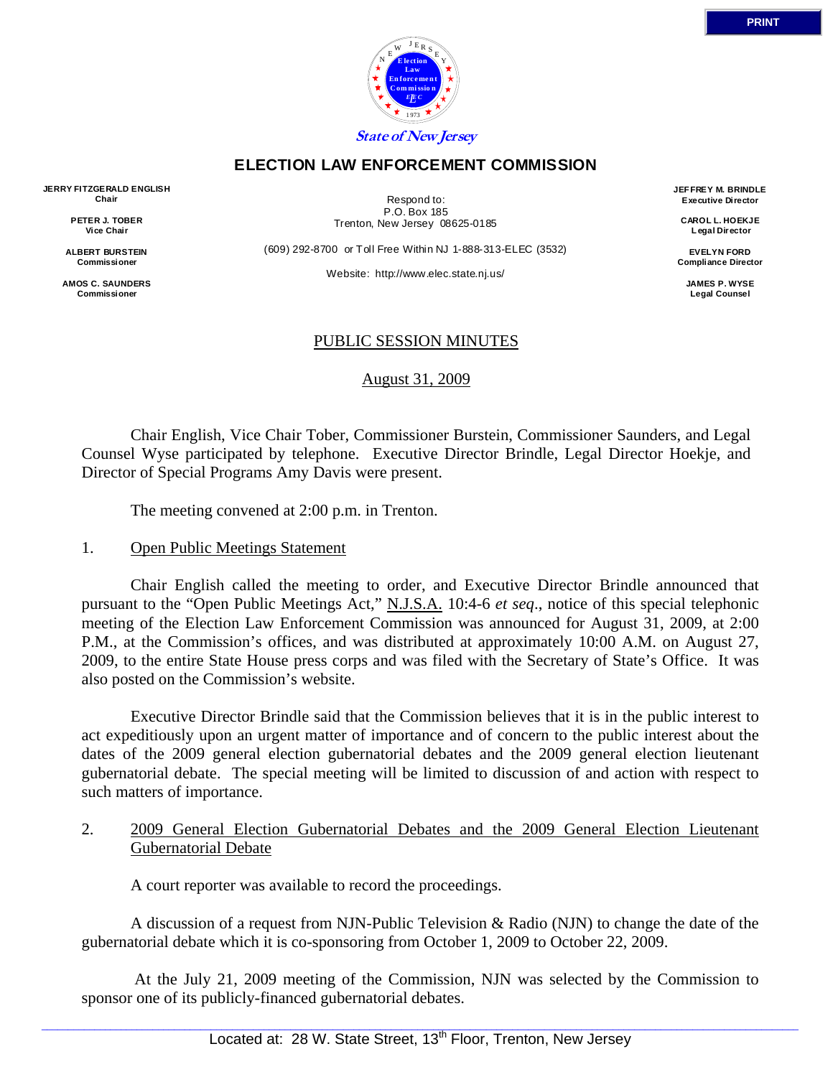

## **ELECTION LAW ENFORCEMENT COMMISSION**

**JERRY FITZGERALD FNGLISH** Chair

> PETER J. TOBER Vice Chair

ALBERT BURSTEIN Commissioner

**AMOS C. SAUNDERS Commissioner** 

Respond to: P.O. Box 185 Trenton, New Jersey 08625-0185

(609) 292-8700 or Toll Free Within NJ 1-888-313-ELEC (3532)

Website: http://www.elec.state.ni.us/

JFFFREY M. BRINDLE Executive Director

> CAROL L. HOEKJE Legal Director

**FVFI YN FORD Compliance Director** 

> JAMES P. WYSE **Legal Counsel**

# PUBLIC SESSION MINUTES

August 31, 2009

Chair English, Vice Chair Tober, Commissioner Burstein, Commissioner Saunders, and Legal Counsel Wyse participated by telephone. Executive Director Brindle, Legal Director Hoekje, and Director of Special Programs Amy Davis were present.

The meeting convened at 2:00 p.m. in Trenton.

#### $1<sup>1</sup>$ **Open Public Meetings Statement**

Chair English called the meeting to order, and Executive Director Brindle announced that pursuant to the "Open Public Meetings Act," N.J.S.A. 10:4-6 et seq., notice of this special telephonic meeting of the Election Law Enforcement Commission was announced for August 31, 2009, at 2:00 P.M., at the Commission's offices, and was distributed at approximately 10:00 A.M. on August 27, 2009, to the entire State House press corps and was filed with the Secretary of State's Office. It was also posted on the Commission's website.

Executive Director Brindle said that the Commission believes that it is in the public interest to act expeditiously upon an urgent matter of importance and of concern to the public interest about the dates of the 2009 general election gubernatorial debates and the 2009 general election lieutenant gubernatorial debate. The special meeting will be limited to discussion of and action with respect to such matters of importance.

 $2<sup>1</sup>$ 2009 General Election Gubernatorial Debates and the 2009 General Election Lieutenant **Gubernatorial Debate** 

A court reporter was available to record the proceedings.

A discussion of a request from NJN-Public Television & Radio (NJN) to change the date of the gubernatorial debate which it is co-sponsoring from October 1, 2009 to October 22, 2009.

At the July 21, 2009 meeting of the Commission, NJN was selected by the Commission to sponsor one of its publicly-financed gubernatorial debates.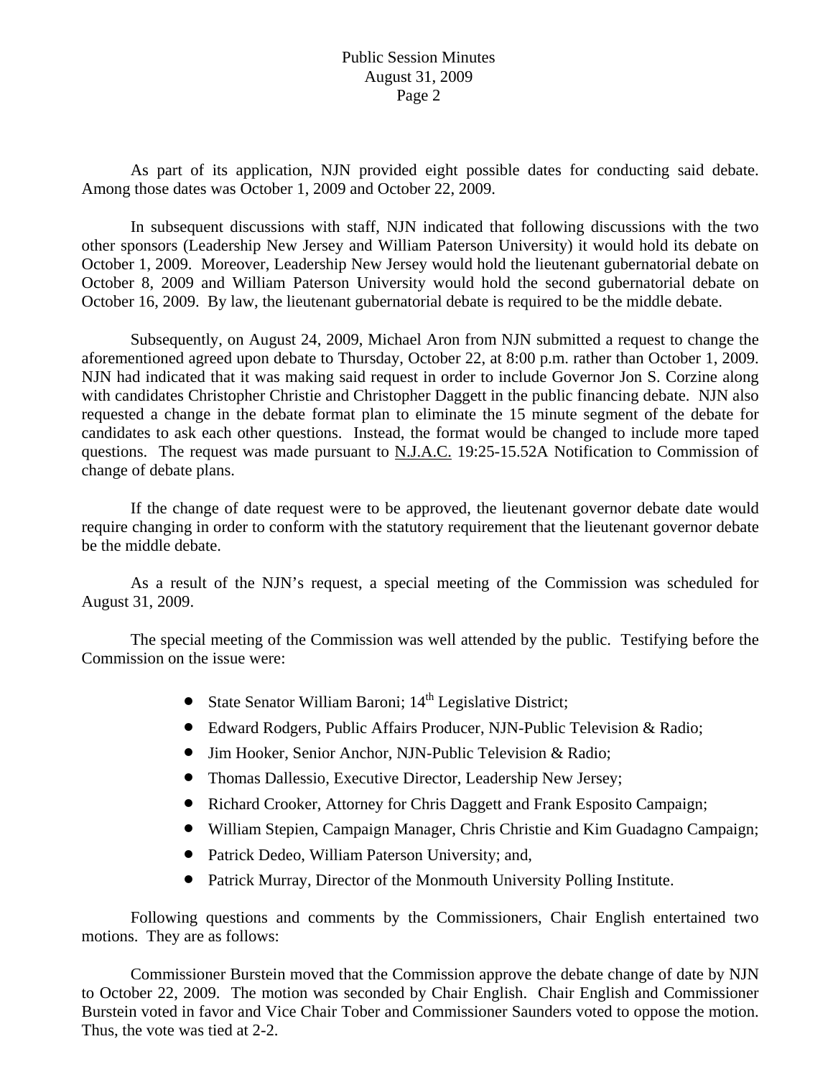## Public Session Minutes August 31, 2009 Page 2

 As part of its application, NJN provided eight possible dates for conducting said debate. Among those dates was October 1, 2009 and October 22, 2009.

 In subsequent discussions with staff, NJN indicated that following discussions with the two other sponsors (Leadership New Jersey and William Paterson University) it would hold its debate on October 1, 2009. Moreover, Leadership New Jersey would hold the lieutenant gubernatorial debate on October 8, 2009 and William Paterson University would hold the second gubernatorial debate on October 16, 2009. By law, the lieutenant gubernatorial debate is required to be the middle debate.

 Subsequently, on August 24, 2009, Michael Aron from NJN submitted a request to change the aforementioned agreed upon debate to Thursday, October 22, at 8:00 p.m. rather than October 1, 2009. NJN had indicated that it was making said request in order to include Governor Jon S. Corzine along with candidates Christopher Christie and Christopher Daggett in the public financing debate. NJN also requested a change in the debate format plan to eliminate the 15 minute segment of the debate for candidates to ask each other questions. Instead, the format would be changed to include more taped questions. The request was made pursuant to N.J.A.C. 19:25-15.52A Notification to Commission of change of debate plans.

 If the change of date request were to be approved, the lieutenant governor debate date would require changing in order to conform with the statutory requirement that the lieutenant governor debate be the middle debate.

 As a result of the NJN's request, a special meeting of the Commission was scheduled for August 31, 2009.

 The special meeting of the Commission was well attended by the public. Testifying before the Commission on the issue were:

- State Senator William Baroni;  $14<sup>th</sup>$  Legislative District;
- Edward Rodgers, Public Affairs Producer, NJN-Public Television & Radio;
- Jim Hooker, Senior Anchor, NJN-Public Television & Radio;
- Thomas Dallessio, Executive Director, Leadership New Jersey;
- Richard Crooker, Attorney for Chris Daggett and Frank Esposito Campaign;
- William Stepien, Campaign Manager, Chris Christie and Kim Guadagno Campaign;
- Patrick Dedeo, William Paterson University; and,
- Patrick Murray, Director of the Monmouth University Polling Institute.

 Following questions and comments by the Commissioners, Chair English entertained two motions. They are as follows:

 Commissioner Burstein moved that the Commission approve the debate change of date by NJN to October 22, 2009. The motion was seconded by Chair English. Chair English and Commissioner Burstein voted in favor and Vice Chair Tober and Commissioner Saunders voted to oppose the motion. Thus, the vote was tied at 2-2.